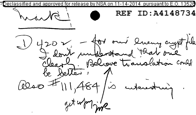approved for release by nursuant to F O REF ID:A4148734 1202 - for our liveury crystfile<br>7 dont understand that one  $1,484/2$ Amig. get wfor-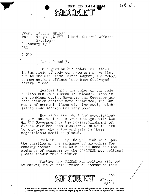Cal. Com.



 $Berlin (GIBRK)$ From: (WINTER (Head, General Affairs To: Tokyo  $\text{Section}$ )  $6$  January  $1944$  $JAS$ 

 $\#$  Ø42

Farts 2 and  $3.^{\#}$ 

In regard to our actual situation in the field of code work you are aware that due to the air raids, since August, the CERMAN communications offices have been destroved several times.

Besides this, the chief of our code section was transferred in October. Then in the bombings during November and December our code section offices were destroyed, and our means of communications with the newly established code section are very poor.

New as we are reopening negotiations. as per instructions in your message, with the GERMAN Government re the re-establishment of direct wireless communications, we would like to know just where the emphasis in these negotiations shall be placed.

That is to say, do you wish to reopen the question of the exchange of materials for reading codes? Or is this to be used for the exchange of messages by the JAPANESE authorities? Please answer this question.

Further the GERMAN authorities will not be making use of this system of communications.

D-4202  $AT-306$ Page 1

This sheet of paper and all of its contents must be safeguarded with the greatest care. Utmost secrecy is necessary to prevent drying up this sort of vital intelligence at its source.